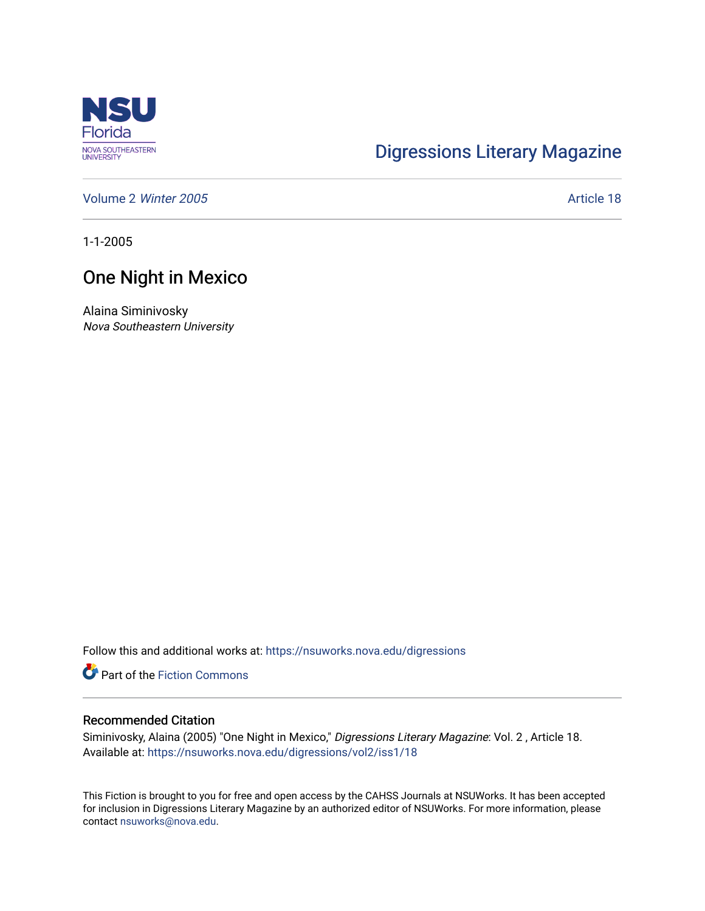

## [Digressions Literary Magazine](https://nsuworks.nova.edu/digressions)

[Volume 2](https://nsuworks.nova.edu/digressions/vol2) Winter 2005 Article 18

1-1-2005

## One Night in Mexico

Alaina Siminivosky Nova Southeastern University

Follow this and additional works at: [https://nsuworks.nova.edu/digressions](https://nsuworks.nova.edu/digressions?utm_source=nsuworks.nova.edu%2Fdigressions%2Fvol2%2Fiss1%2F18&utm_medium=PDF&utm_campaign=PDFCoverPages) 

**Part of the Fiction Commons** 

## Recommended Citation

Siminivosky, Alaina (2005) "One Night in Mexico," Digressions Literary Magazine: Vol. 2 , Article 18. Available at: [https://nsuworks.nova.edu/digressions/vol2/iss1/18](https://nsuworks.nova.edu/digressions/vol2/iss1/18?utm_source=nsuworks.nova.edu%2Fdigressions%2Fvol2%2Fiss1%2F18&utm_medium=PDF&utm_campaign=PDFCoverPages) 

This Fiction is brought to you for free and open access by the CAHSS Journals at NSUWorks. It has been accepted for inclusion in Digressions Literary Magazine by an authorized editor of NSUWorks. For more information, please contact [nsuworks@nova.edu.](mailto:nsuworks@nova.edu)